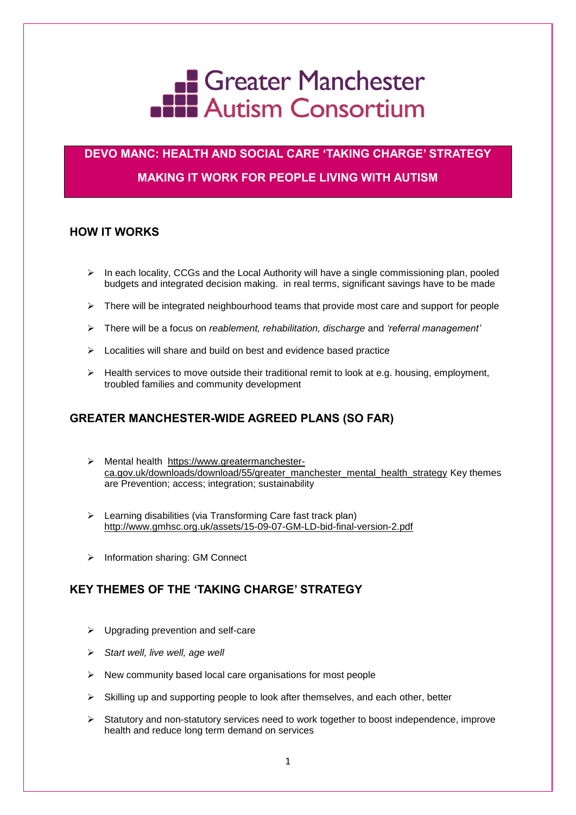

# **DEVO MANC: HEALTH AND SOCIAL CARE 'TAKING CHARGE' STRATEGY MAKING IT WORK FOR PEOPLE LIVING WITH AUTISM**

## **HOW IT WORKS**

- $\triangleright$  In each locality, CCGs and the Local Authority will have a single commissioning plan, pooled budgets and integrated decision making. in real terms, significant savings have to be made
- $\triangleright$  There will be integrated neighbourhood teams that provide most care and support for people
- There will be a focus on *reablement, rehabilitation, discharge* and *'referral management'*
- $\triangleright$  Localities will share and build on best and evidence based practice
- $\triangleright$  Health services to move outside their traditional remit to look at e.g. housing, employment, troubled families and community development

## **GREATER MANCHESTER-WIDE AGREED PLANS (SO FAR)**

- Mental health [https://www.greatermanchester](https://www.greatermanchester-ca.gov.uk/downloads/download/55/greater_manchester_mental_health_strategy)[ca.gov.uk/downloads/download/55/greater\\_manchester\\_mental\\_health\\_strategy](https://www.greatermanchester-ca.gov.uk/downloads/download/55/greater_manchester_mental_health_strategy) Key themes are Prevention; access; integration; sustainability
- $\triangleright$  Learning disabilities (via Transforming Care fast track plan) <http://www.gmhsc.org.uk/assets/15-09-07-GM-LD-bid-final-version-2.pdf>
- $\triangleright$  Information sharing: GM Connect

## **KEY THEMES OF THE 'TAKING CHARGE' STRATEGY**

- $\triangleright$  Upgrading prevention and self-care
- *Start well, live well, age well*
- $\triangleright$  New community based local care organisations for most people
- $\triangleright$  Skilling up and supporting people to look after themselves, and each other, better
- $\triangleright$  Statutory and non-statutory services need to work together to boost independence, improve health and reduce long term demand on services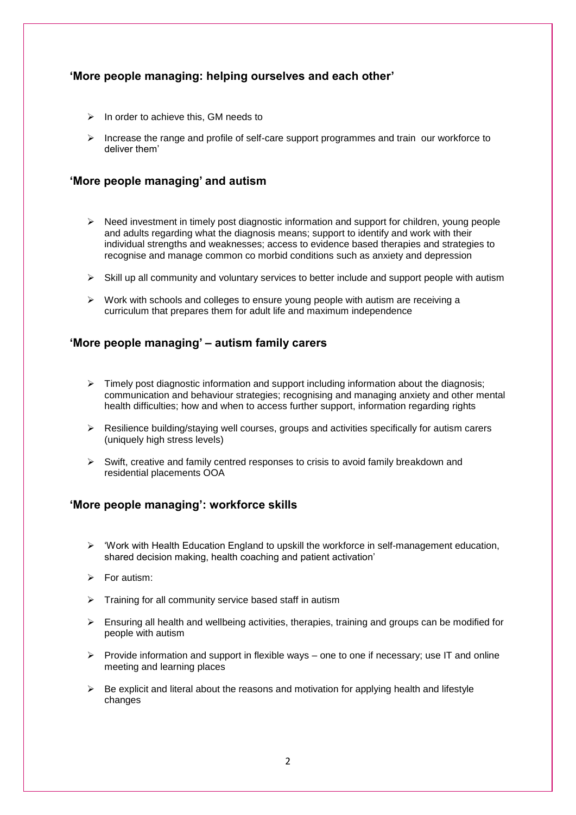## **'More people managing: helping ourselves and each other'**

- $\triangleright$  In order to achieve this, GM needs to
- $\triangleright$  Increase the range and profile of self-care support programmes and train our workforce to deliver them'

#### **'More people managing' and autism**

- $\triangleright$  Need investment in timely post diagnostic information and support for children, young people and adults regarding what the diagnosis means; support to identify and work with their individual strengths and weaknesses; access to evidence based therapies and strategies to recognise and manage common co morbid conditions such as anxiety and depression
- $\triangleright$  Skill up all community and voluntary services to better include and support people with autism
- $\triangleright$  Work with schools and colleges to ensure young people with autism are receiving a curriculum that prepares them for adult life and maximum independence

#### **'More people managing' – autism family carers**

- $\triangleright$  Timely post diagnostic information and support including information about the diagnosis; communication and behaviour strategies; recognising and managing anxiety and other mental health difficulties; how and when to access further support, information regarding rights
- $\triangleright$  Resilience building/staying well courses, groups and activities specifically for autism carers (uniquely high stress levels)
- $\triangleright$  Swift, creative and family centred responses to crisis to avoid family breakdown and residential placements OOA

## **'More people managing': workforce skills**

- $\triangleright$  'Work with Health Education England to upskill the workforce in self-management education, shared decision making, health coaching and patient activation'
- $\triangleright$  For autism:
- $\triangleright$  Training for all community service based staff in autism
- $\triangleright$  Ensuring all health and wellbeing activities, therapies, training and groups can be modified for people with autism
- $\triangleright$  Provide information and support in flexible ways one to one if necessary; use IT and online meeting and learning places
- $\triangleright$  Be explicit and literal about the reasons and motivation for applying health and lifestyle changes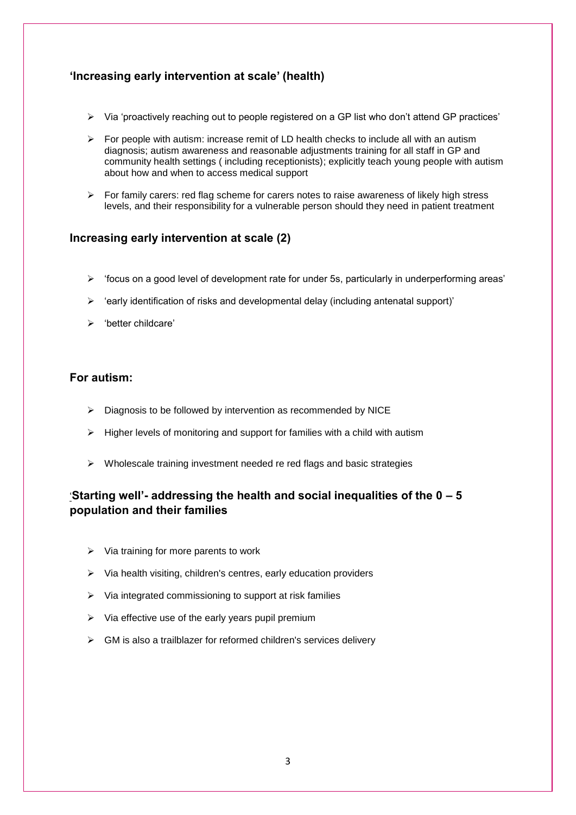## **'Increasing early intervention at scale' (health)**

- $\triangleright$  Via 'proactively reaching out to people registered on a GP list who don't attend GP practices'
- $\triangleright$  For people with autism: increase remit of LD health checks to include all with an autism diagnosis; autism awareness and reasonable adjustments training for all staff in GP and community health settings ( including receptionists); explicitly teach young people with autism about how and when to access medical support
- $\triangleright$  For family carers: red flag scheme for carers notes to raise awareness of likely high stress levels, and their responsibility for a vulnerable person should they need in patient treatment

#### **Increasing early intervention at scale (2)**

- $\triangleright$  'focus on a good level of development rate for under 5s, particularly in underperforming areas'
- $\triangleright$  'early identification of risks and developmental delay (including antenatal support)'
- 'better childcare'

## **For autism:**

- $\triangleright$  Diagnosis to be followed by intervention as recommended by NICE
- $\triangleright$  Higher levels of monitoring and support for families with a child with autism
- $\triangleright$  Wholescale training investment needed re red flags and basic strategies

## '**Starting well'- addressing the health and social inequalities of the 0 – 5 population and their families**

- $\triangleright$  Via training for more parents to work
- $\triangleright$  Via health visiting, children's centres, early education providers
- $\triangleright$  Via integrated commissioning to support at risk families
- $\triangleright$  Via effective use of the early years pupil premium
- $\triangleright$  GM is also a trailblazer for reformed children's services delivery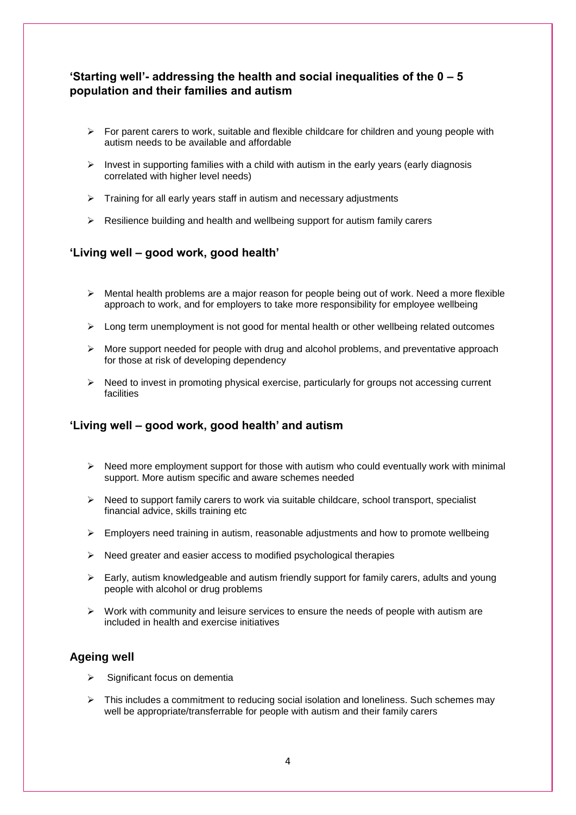## **'Starting well'- addressing the health and social inequalities of the 0 – 5 population and their families and autism**

- $\triangleright$  For parent carers to work, suitable and flexible childcare for children and young people with autism needs to be available and affordable
- Invest in supporting families with a child with autism in the early years (early diagnosis correlated with higher level needs)
- $\triangleright$  Training for all early years staff in autism and necessary adjustments
- $\triangleright$  Resilience building and health and wellbeing support for autism family carers

#### **'Living well – good work, good health'**

- $\triangleright$  Mental health problems are a major reason for people being out of work. Need a more flexible approach to work, and for employers to take more responsibility for employee wellbeing
- $\triangleright$  Long term unemployment is not good for mental health or other wellbeing related outcomes
- $\triangleright$  More support needed for people with drug and alcohol problems, and preventative approach for those at risk of developing dependency
- $\triangleright$  Need to invest in promoting physical exercise, particularly for groups not accessing current facilities

## **'Living well – good work, good health' and autism**

- $\triangleright$  Need more employment support for those with autism who could eventually work with minimal support. More autism specific and aware schemes needed
- $\triangleright$  Need to support family carers to work via suitable childcare, school transport, specialist financial advice, skills training etc
- $\triangleright$  Employers need training in autism, reasonable adjustments and how to promote wellbeing
- $\triangleright$  Need greater and easier access to modified psychological therapies
- $\triangleright$  Early, autism knowledgeable and autism friendly support for family carers, adults and young people with alcohol or drug problems
- $\triangleright$  Work with community and leisure services to ensure the needs of people with autism are included in health and exercise initiatives

#### **Ageing well**

- Significant focus on dementia
- $\triangleright$  This includes a commitment to reducing social isolation and loneliness. Such schemes may well be appropriate/transferrable for people with autism and their family carers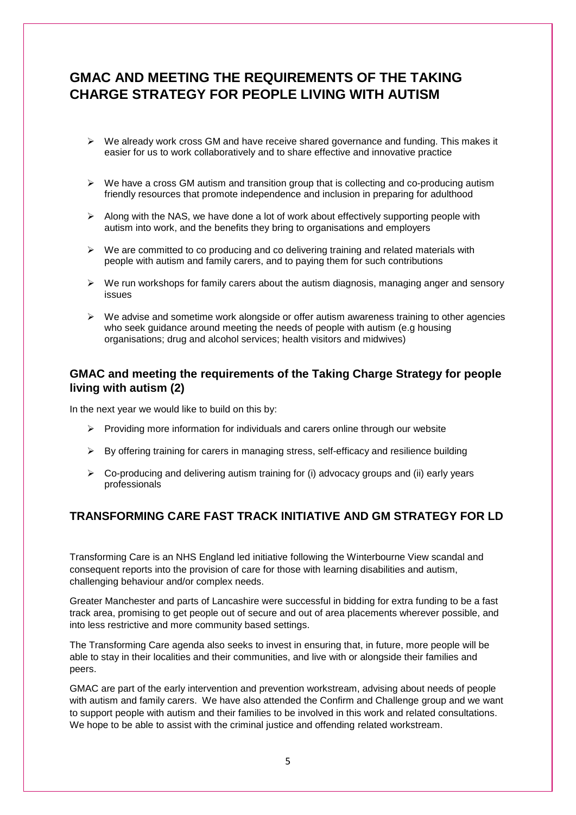# **GMAC AND MEETING THE REQUIREMENTS OF THE TAKING CHARGE STRATEGY FOR PEOPLE LIVING WITH AUTISM**

- $\triangleright$  We already work cross GM and have receive shared governance and funding. This makes it easier for us to work collaboratively and to share effective and innovative practice
- $\triangleright$  We have a cross GM autism and transition group that is collecting and co-producing autism friendly resources that promote independence and inclusion in preparing for adulthood
- $\triangleright$  Along with the NAS, we have done a lot of work about effectively supporting people with autism into work, and the benefits they bring to organisations and employers
- $\triangleright$  We are committed to co producing and co delivering training and related materials with people with autism and family carers, and to paying them for such contributions
- $\triangleright$  We run workshops for family carers about the autism diagnosis, managing anger and sensory issues
- $\triangleright$  We advise and sometime work alongside or offer autism awareness training to other agencies who seek guidance around meeting the needs of people with autism (e.g housing organisations; drug and alcohol services; health visitors and midwives)

#### **GMAC and meeting the requirements of the Taking Charge Strategy for people living with autism (2)**

In the next year we would like to build on this by:

- $\triangleright$  Providing more information for individuals and carers online through our website
- $\triangleright$  By offering training for carers in managing stress, self-efficacy and resilience building
- $\triangleright$  Co-producing and delivering autism training for (i) advocacy groups and (ii) early years professionals

## **TRANSFORMING CARE FAST TRACK INITIATIVE AND GM STRATEGY FOR LD**

Transforming Care is an NHS England led initiative following the Winterbourne View scandal and consequent reports into the provision of care for those with learning disabilities and autism, challenging behaviour and/or complex needs.

Greater Manchester and parts of Lancashire were successful in bidding for extra funding to be a fast track area, promising to get people out of secure and out of area placements wherever possible, and into less restrictive and more community based settings.

The Transforming Care agenda also seeks to invest in ensuring that, in future, more people will be able to stay in their localities and their communities, and live with or alongside their families and peers.

GMAC are part of the early intervention and prevention workstream, advising about needs of people with autism and family carers. We have also attended the Confirm and Challenge group and we want to support people with autism and their families to be involved in this work and related consultations. We hope to be able to assist with the criminal justice and offending related workstream.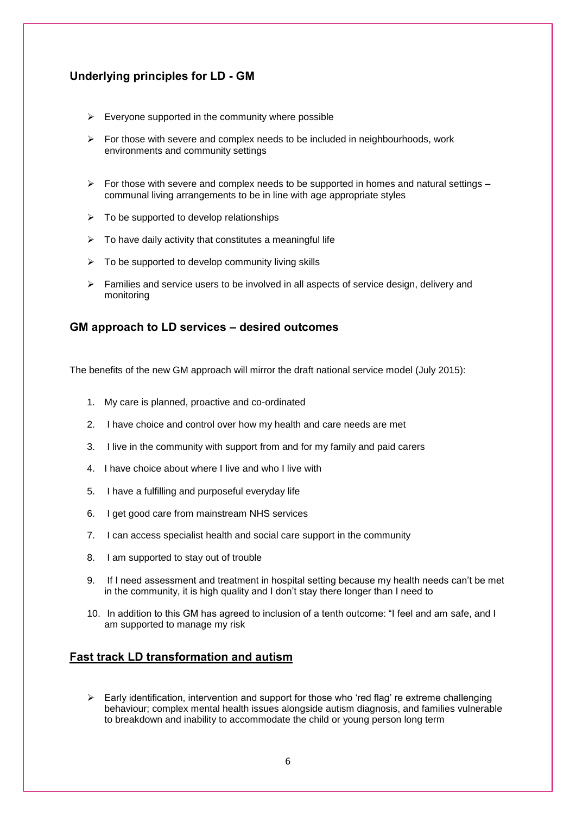## **Underlying principles for LD - GM**

- $\triangleright$  Everyone supported in the community where possible
- $\triangleright$  For those with severe and complex needs to be included in neighbourhoods, work environments and community settings
- $\triangleright$  For those with severe and complex needs to be supported in homes and natural settings communal living arrangements to be in line with age appropriate styles
- $\triangleright$  To be supported to develop relationships
- $\triangleright$  To have daily activity that constitutes a meaningful life
- $\triangleright$  To be supported to develop community living skills
- $\triangleright$  Families and service users to be involved in all aspects of service design, delivery and monitoring

#### **GM approach to LD services – desired outcomes**

The benefits of the new GM approach will mirror the draft national service model (July 2015):

- 1. My care is planned, proactive and co-ordinated
- 2. I have choice and control over how my health and care needs are met
- 3. I live in the community with support from and for my family and paid carers
- 4. I have choice about where I live and who I live with
- 5. I have a fulfilling and purposeful everyday life
- 6. I get good care from mainstream NHS services
- 7. I can access specialist health and social care support in the community
- 8. I am supported to stay out of trouble
- 9. If I need assessment and treatment in hospital setting because my health needs can't be met in the community, it is high quality and I don't stay there longer than I need to
- 10. In addition to this GM has agreed to inclusion of a tenth outcome: "I feel and am safe, and I am supported to manage my risk

#### **Fast track LD transformation and autism**

 $\triangleright$  Early identification, intervention and support for those who 'red flag' re extreme challenging behaviour; complex mental health issues alongside autism diagnosis, and families vulnerable to breakdown and inability to accommodate the child or young person long term